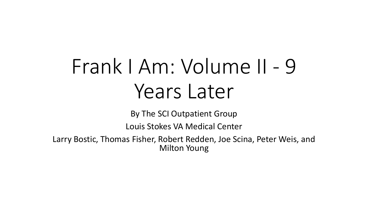## Frank I Am: Volume II - 9 Years Later

By The SCI Outpatient Group

Louis Stokes VA Medical Center

Larry Bostic, Thomas Fisher, Robert Redden, Joe Scina, Peter Weis, and Milton Young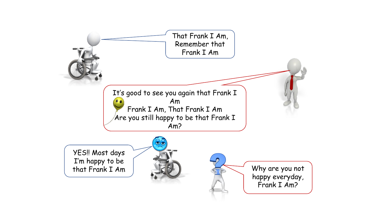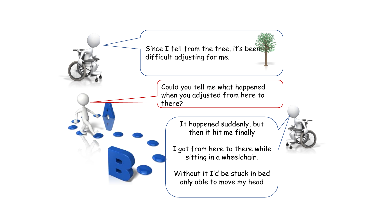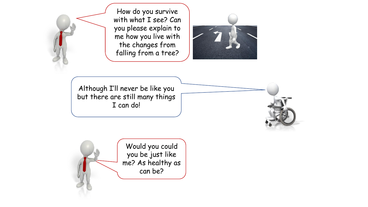How do you survive with what I see? Can you please explain to me how you live with the changes from falling from a tree?



Although I'll never be like you but there are still many things I can do!

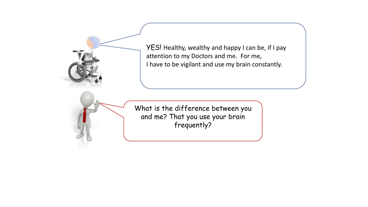YES! Healthy, wealthy and happy I can be, if I pay attention to my Doctors and me. For me, I have to be vigilant and use my brain constantly.



What is the difference between you and me? That you use your brain frequently?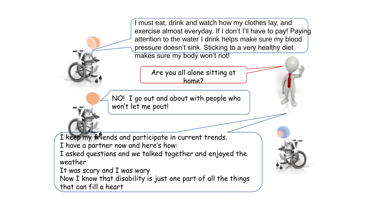I must eat, drink and watch how my clothes lay, and exercise almost everyday. If I don't I'll have to pay! Paying attention to the water I drink helps make sure my blood pressure doesn't sink. Sticking to a very healthy diet makes sure my body won't riot!

> Are you all alone sitting at home?

NO! I go out and about with people who won't let me pout!

I keep my friends and participate in current trends.

I have a partner now and here's how:

I asked questions and we talked together and enjoyed the weather

It was scary and I was wary

Now I know that disability is just one part of all the things

that can fill a heart

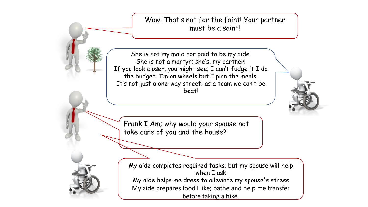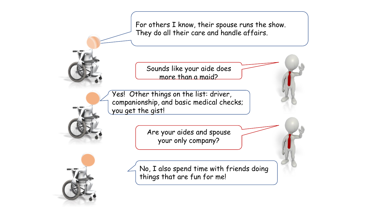For others I know, their spouse runs the show. They do all their care and handle affairs.

Sounds like your aide does more than a maid?

Yes! Other things on the list: driver, companionship, and basic medical checks; you get the gist!

> Are your aides and spouse your only company?

No, I also spend time with friends doing things that are fun for me!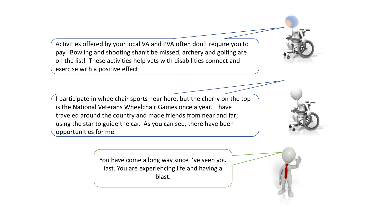Activities offered by your local VA and PVA often don't require you to pay. Bowling and shooting shan't be missed, archery and golfing are on the list! These activities help vets with disabilities connect and exercise with a positive effect.

I participate in wheelchair sports near here, but the cherry on the top is the National Veterans Wheelchair Games once a year. I have traveled around the country and made friends from near and far; using the star to guide the car. As you can see, there have been opportunities for me.

> You have come a long way since I've seen you last. You are experiencing life and having a blast.

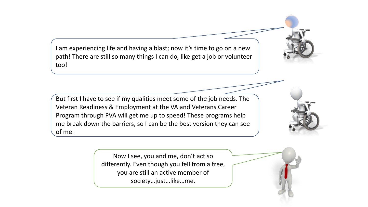I am experiencing life and having a blast; now it's time to go on a new path! There are still so many things I can do, like get a job or volunteer too!

But first I have to see if my qualities meet some of the job needs. The Veteran Readiness & Employment at the VA and Veterans Career Program through PVA will get me up to speed! These programs help me break down the barriers, so I can be the best version they can see of me.

> Now I see, you and me, don't act so differently. Even though you fell from a tree, you are still an active member of society…just…like…me.

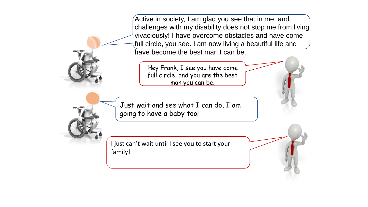Active in society, I am glad you see that in me, and challenges with my disability does not stop me from living vivaciously! I have overcome obstacles and have come full circle, you see. I am now living a beautiful life and have become the best man I can be.

Hey Frank, I see you have come full circle, and you are the best man you can be.

Just wait and see what I can do, I am going to have a baby too!

I just can't wait until I see you to start your family!



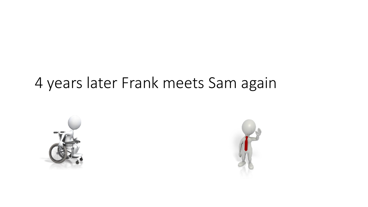## 4 years later Frank meets Sam again



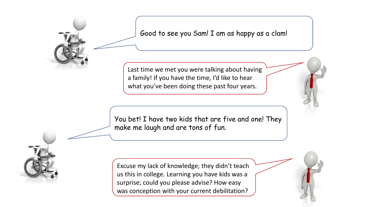Good to see you Sam! I am as happy as a clam!

Last time we met you were talking about having a family! If you have the time, I'd like to hear what you've been doing these past four years.

You bet! I have two kids that are five and one! They make me laugh and are tons of fun.

Excuse my lack of knowledge; they didn't teach us this in college. Learning you have kids was a surprise; could you please advise? How easy was conception with your current debilitation?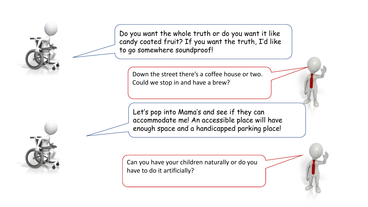Do you want the whole truth or do you want it like candy coated fruit? If you want the truth, I'd like to go somewhere soundproof!

Down the street there's a coffee house or two. Could we stop in and have a brew?

Let's pop into Mama's and see if they can accommodate me! An accessible place will have enough space and a handicapped parking place!

Can you have your children naturally or do you have to do it artificially?



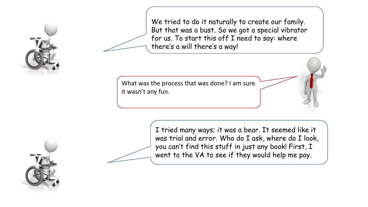

We tried to do it naturally to create our family. But that was a bust. So we got a special vibrator for us. To start this off I need to say: where there's a will there's a way!

What was the process that was done? I am sure it wasn't any fun.

> I tried many ways; it was a bear. It seemed like it was trial and error. Who do I ask, where do I look, you can't find this stuff in just any book! First, I went to the VA to see if they would help me pay.

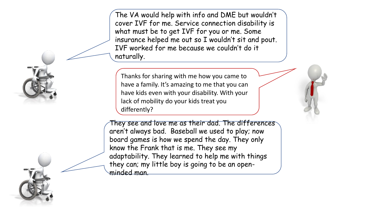The VA would help with info and DME but wouldn't cover IVF for me. Service connection disability is what must be to get IVF for you or me. Some insurance helped me out so I wouldn't sit and pout. IVF worked for me because we couldn't do it naturally.

Thanks for sharing with me how you came to have a family. It's amazing to me that you can have kids even with your disability. With your lack of mobility do your kids treat you differently?

They see and love me as their dad. The differences aren't always bad. Baseball we used to play; now board games is how we spend the day. They only know the Frank that is me. They see my adaptability. They learned to help me with things they can; my little boy is going to be an openminded man.

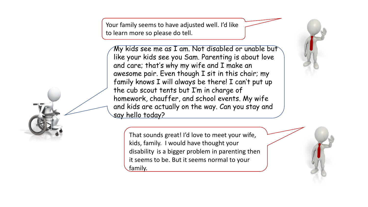Your family seems to have adjusted well. I'd like to learn more so please do tell.

My kids see me as I am. Not disabled or unable but like your kids see you Sam. Parenting is about love and care; that's why my wife and I make an awesome pair. Even though I sit in this chair; my family knows I will always be there! I can't put up the cub scout tents but I'm in charge of homework, chauffer, and school events. My wife and kids are actually on the way. Can you stay and say hello today?

That sounds great! I'd love to meet your wife, kids, family. I would have thought your disability is a bigger problem in parenting then it seems to be. But it seems normal to your family.